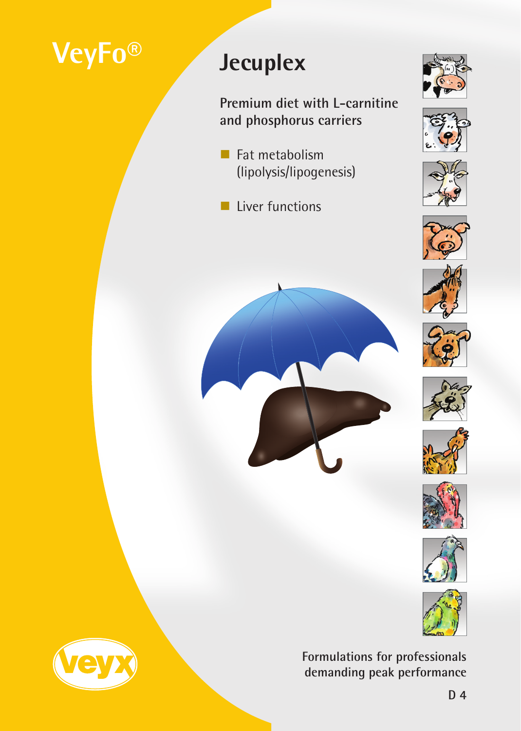# **VeyFo® Jecuplex**

**Premium diet with L-carnitine and phosphorus carriers**

- $\blacksquare$  Fat metabolism (lipolysis/lipogenesis)
- **Liver functions**























**Formulations for professionals demanding peak performance**

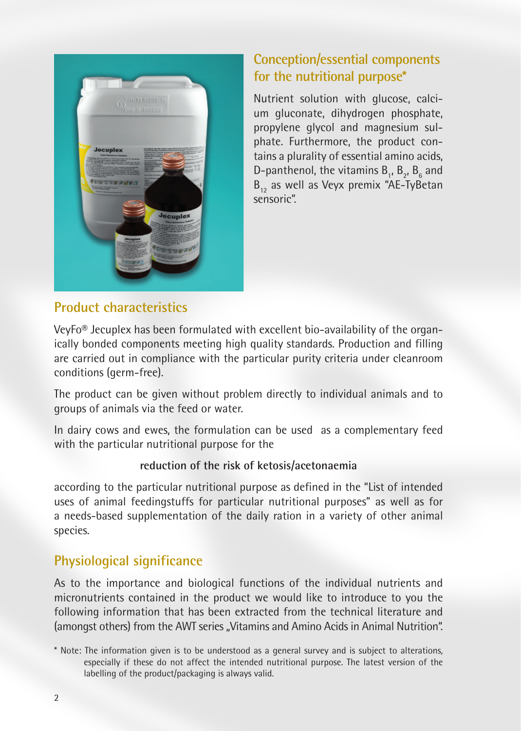

### **Conception/essential components for the nutritional purpose\***

Nutrient solution with glucose, calcium gluconate, dihydrogen phosphate, propylene glycol and magnesium sulphate. Furthermore, the product contains a plurality of essential amino acids, D-panthenol, the vitamins  $B_{1}$ ,  $B_{2}$ ,  $B_{6}$  and  $B_{12}$  as well as Veyx premix "AE-TyBetan sensoric".

#### **Product characteristics**

VeyFo® Jecuplex has been formulated with excellent bio-availability of the organically bonded components meeting high quality standards. Production and filling are carried out in compliance with the particular purity criteria under cleanroom conditions (germ-free).

The product can be given without problem directly to individual animals and to groups of animals via the feed or water.

In dairy cows and ewes, the formulation can be used as a complementary feed with the particular nutritional purpose for the

#### **reduction of the risk of ketosis/acetonaemia**

according to the particular nutritional purpose as defined in the "List of intended uses of animal feedingstuffs for particular nutritional purposes" as well as for a needs-based supplementation of the daily ration in a variety of other animal species.

# **Physiological significance**

As to the importance and biological functions of the individual nutrients and micronutrients contained in the product we would like to introduce to you the following information that has been extracted from the technical literature and (amongst others) from the AWT series . Vitamins and Amino Acids in Animal Nutrition".

<sup>\*</sup> Note: The information given is to be understood as a general survey and is subject to alterations, especially if these do not affect the intended nutritional purpose. The latest version of the labelling of the product/packaging is always valid.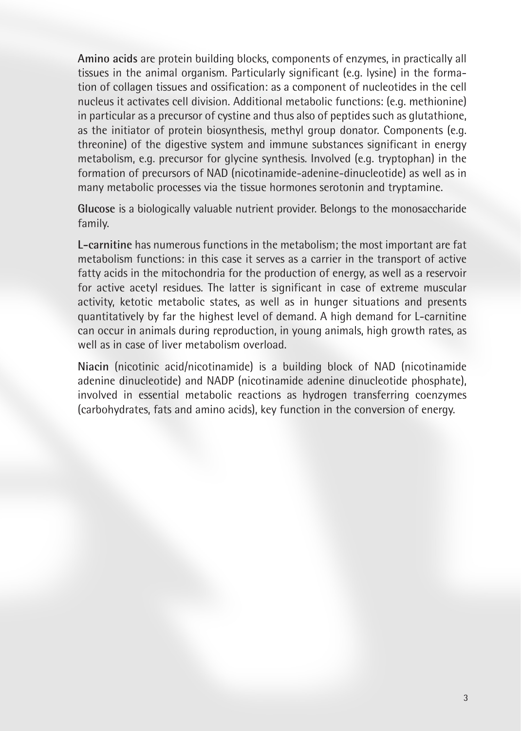**Amino acids** are protein building blocks, components of enzymes, in practically all tissues in the animal organism. Particularly significant (e.g. lysine) in the formation of collagen tissues and ossification: as a component of nucleotides in the cell nucleus it activates cell division. Additional metabolic functions: (e.g. methionine) in particular as a precursor of cystine and thus also of peptides such as glutathione, as the initiator of protein biosynthesis, methyl group donator. Components (e.g. threonine) of the digestive system and immune substances significant in energy metabolism, e.g. precursor for glycine synthesis. Involved (e.g. tryptophan) in the formation of precursors of NAD (nicotinamide-adenine-dinucleotide) as well as in many metabolic processes via the tissue hormones serotonin and tryptamine.

**Glucose** is a biologically valuable nutrient provider. Belongs to the monosaccharide family.

**L-carnitine** has numerous functions in the metabolism; the most important are fat metabolism functions: in this case it serves as a carrier in the transport of active fatty acids in the mitochondria for the production of energy, as well as a reservoir for active acetyl residues. The latter is significant in case of extreme muscular activity, ketotic metabolic states, as well as in hunger situations and presents quantitatively by far the highest level of demand. A high demand for L-carnitine can occur in animals during reproduction, in young animals, high growth rates, as well as in case of liver metabolism overload.

**Niacin** (nicotinic acid/nicotinamide) is a building block of NAD (nicotinamide adenine dinucleotide) and NADP (nicotinamide adenine dinucleotide phosphate), involved in essential metabolic reactions as hydrogen transferring coenzymes (carbohydrates, fats and amino acids), key function in the conversion of energy.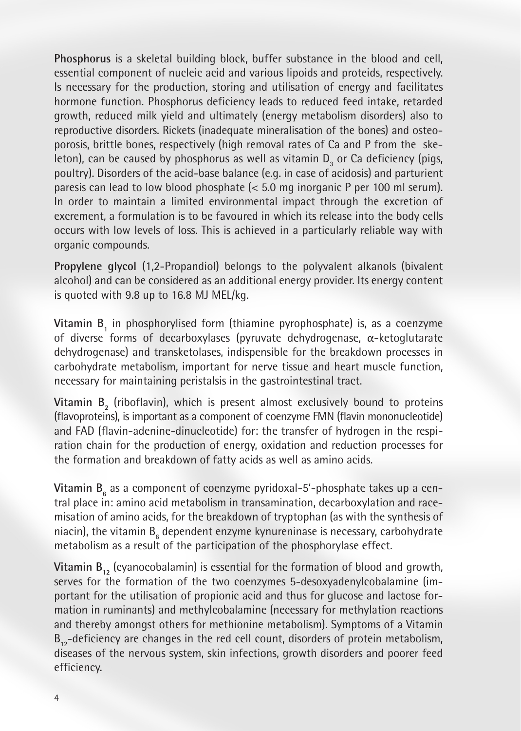**Phosphorus** is a skeletal building block, buffer substance in the blood and cell, essential component of nucleic acid and various lipoids and proteids, respectively. Is necessary for the production, storing and utilisation of energy and facilitates hormone function. Phosphorus deficiency leads to reduced feed intake, retarded growth, reduced milk yield and ultimately (energy metabolism disorders) also to reproductive disorders. Rickets (inadequate mineralisation of the bones) and osteoporosis, brittle bones, respectively (high removal rates of Ca and P from the skeleton), can be caused by phosphorus as well as vitamin  $D_3$  or Ca deficiency (pigs, poultry). Disorders of the acid-base balance (e.g. in case of acidosis) and parturient paresis can lead to low blood phosphate (< 5.0 mg inorganic P per 100 ml serum). In order to maintain a limited environmental impact through the excretion of excrement, a formulation is to be favoured in which its release into the body cells occurs with low levels of loss. This is achieved in a particularly reliable way with organic compounds.

**Propylene glycol** (1,2-Propandiol) belongs to the polyvalent alkanols (bivalent alcohol) and can be considered as an additional energy provider. Its energy content is quoted with 9.8 up to 16.8 MJ MEL/kg.

**Vitamin B<sub>1</sub>** in phosphorylised form (thiamine pyrophosphate) is, as a coenzyme of diverse forms of decarboxylases (pyruvate dehydrogenase, α-ketoglutarate dehydrogenase) and transketolases, indispensible for the breakdown processes in carbohydrate metabolism, important for nerve tissue and heart muscle function, necessary for maintaining peristalsis in the gastrointestinal tract.

 $V$ itamin  $B_2$  (riboflavin), which is present almost exclusively bound to proteins (flavoproteins), is important as a component of coenzyme FMN (flavin mononucleotide) and FAD (flavin-adenine-dinucleotide) for: the transfer of hydrogen in the respiration chain for the production of energy, oxidation and reduction processes for the formation and breakdown of fatty acids as well as amino acids.

**Vitamin B<sub>6</sub> as a component of coenzyme pyridoxal-5'-phosphate takes up a cen**tral place in: amino acid metabolism in transamination, decarboxylation and racemisation of amino acids, for the breakdown of tryptophan (as with the synthesis of niacin), the vitamin  $B_6$  dependent enzyme kynureninase is necessary, carbohydrate metabolism as a result of the participation of the phosphorylase effect.

**Vitamin B**<sub>12</sub> (cyanocobalamin) is essential for the formation of blood and growth, serves for the formation of the two coenzymes 5-desoxyadenylcobalamine (important for the utilisation of propionic acid and thus for glucose and lactose formation in ruminants) and methylcobalamine (necessary for methylation reactions and thereby amongst others for methionine metabolism). Symptoms of a Vitamin  $B_{12}$ -deficiency are changes in the red cell count, disorders of protein metabolism, diseases of the nervous system, skin infections, growth disorders and poorer feed efficiency.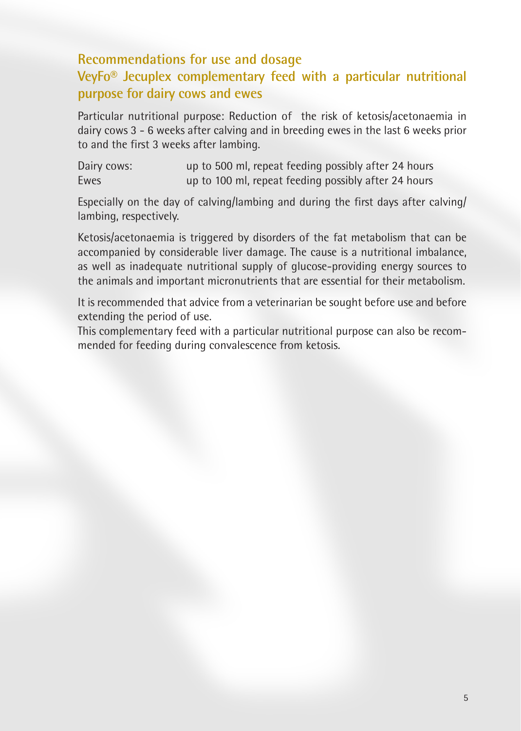# **Recommendations for use and dosage VeyFo® Jecuplex complementary feed with a particular nutritional purpose for dairy cows and ewes**

Particular nutritional purpose: Reduction of the risk of ketosis/acetonaemia in dairy cows 3 - 6 weeks after calving and in breeding ewes in the last 6 weeks prior to and the first 3 weeks after lambing.

| Dairy cows: | up to 500 ml, repeat feeding possibly after 24 hours |
|-------------|------------------------------------------------------|
| Ewes        | up to 100 ml, repeat feeding possibly after 24 hours |

Especially on the day of calving/lambing and during the first days after calving/ lambing, respectively.

Ketosis/acetonaemia is triggered by disorders of the fat metabolism that can be accompanied by considerable liver damage. The cause is a nutritional imbalance, as well as inadequate nutritional supply of glucose-providing energy sources to the animals and important micronutrients that are essential for their metabolism.

It is recommended that advice from a veterinarian be sought before use and before extending the period of use.

This complementary feed with a particular nutritional purpose can also be recommended for feeding during convalescence from ketosis.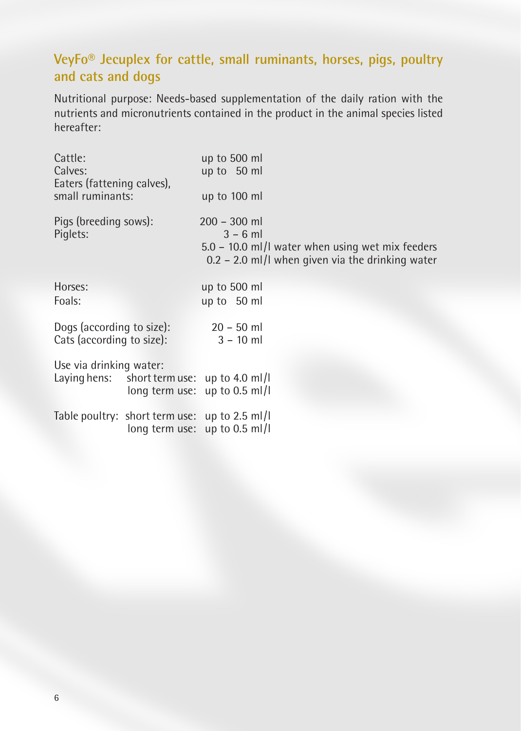# **VeyFo® Jecuplex for cattle, small ruminants, horses, pigs, poultry and cats and dogs**

Nutritional purpose: Needs-based supplementation of the daily ration with the nutrients and micronutrients contained in the product in the animal species listed hereafter:

| Cattle:<br>Calves:<br>Eaters (fattening calves),<br>small ruminants:   | up to 500 ml<br>up to 50 ml<br>up to 100 ml                                                                                             |
|------------------------------------------------------------------------|-----------------------------------------------------------------------------------------------------------------------------------------|
| Pigs (breeding sows):<br>Piglets:                                      | $200 - 300$ ml<br>$3 - 6$ m<br>$5.0 - 10.0$ ml/l water when using wet mix feeders<br>$0.2 - 2.0$ ml/l when given via the drinking water |
| Horses:<br>Foals:                                                      | up to 500 ml<br>up to 50 ml                                                                                                             |
| Dogs (according to size):<br>Cats (according to size):                 | $20 - 50$ ml<br>$3 - 10$ ml                                                                                                             |
| Use via drinking water:<br>Laying hens: short term use: up to 4.0 ml/l | long term use: up to 0.5 ml/l                                                                                                           |
| Table poultry: short term use: up to 2.5 ml/l                          | long term use: up to 0.5 ml/l                                                                                                           |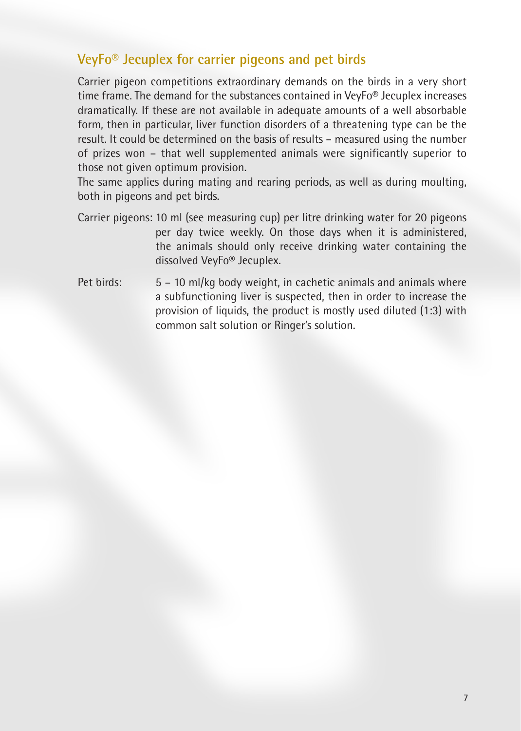### **VeyFo® Jecuplex for carrier pigeons and pet birds**

Carrier pigeon competitions extraordinary demands on the birds in a very short time frame. The demand for the substances contained in VeyFo® Jecuplex increases dramatically. If these are not available in adequate amounts of a well absorbable form, then in particular, liver function disorders of a threatening type can be the result. It could be determined on the basis of results – measured using the number of prizes won – that well supplemented animals were significantly superior to those not given optimum provision.

The same applies during mating and rearing periods, as well as during moulting, both in pigeons and pet birds.

- Carrier pigeons: 10 ml (see measuring cup) per litre drinking water for 20 pigeons per day twice weekly. On those days when it is administered, the animals should only receive drinking water containing the dissolved VeyFo® Jecuplex.
- Pet birds:  $5 10$  ml/kg body weight, in cachetic animals and animals where a subfunctioning liver is suspected, then in order to increase the provision of liquids, the product is mostly used diluted (1:3) with common salt solution or Ringer's solution.